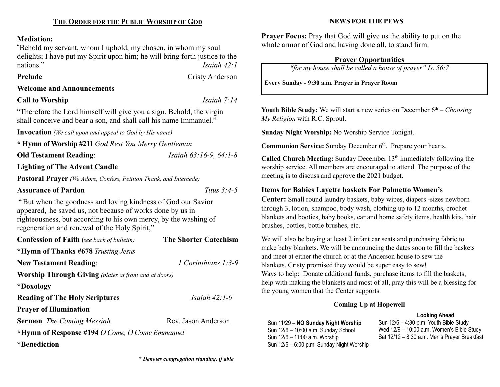## Mediation:

"Behold my servant, whom I uphold, my chosen, in whom my soul delights; I have put my Spirit upon him; he will bring forth justice to the nations." Isaiah 42:1

Prelude Cristy Anderson

# Welcome and Announcements

## Call to Worship Isaiah 7:14

"Therefore the Lord himself will give you a sign. Behold, the virgin shall conceive and bear a son, and shall call his name Immanuel."

Invocation (We call upon and appeal to God by His name)

\* Hymn of Worship #211 God Rest You Merry Gentleman

Old Testament Reading: *Isaiah 63:16-9, 64:1-8* 

# Lighting of The Advent Candle

Pastoral Prayer (We Adore, Confess, Petition Thank, and Intercede)

#### Assurance of Pardon Titus 3:4-5

"But when the goodness and loving kindness of God our Savior appeared, he saved us, not because of works done by us in righteousness, but according to his own mercy, by the washing of regeneration and renewal of the Holy Spirit,"

| <b>Confession of Faith</b> (see back of bulletin)            | <b>The Shorter Catechism</b> |  |  |  |  |
|--------------------------------------------------------------|------------------------------|--|--|--|--|
| *Hymn of Thanks #678 Trusting Jesus                          |                              |  |  |  |  |
| <b>New Testament Reading:</b>                                | 1 Corinthians $1:3-9$        |  |  |  |  |
| <b>Worship Through Giving</b> (plates at front and at doors) |                              |  |  |  |  |
| *Doxology                                                    |                              |  |  |  |  |
| <b>Reading of The Holy Scriptures</b>                        | Isaiah $42:1-9$              |  |  |  |  |
| <b>Prayer of Illumination</b>                                |                              |  |  |  |  |
| <b>Sermon</b> The Coming Messiah                             | Rev. Jason Anderson          |  |  |  |  |
| *Hymn of Response #194 O Come, O Come Emmanuel               |                              |  |  |  |  |
| *Benediction                                                 |                              |  |  |  |  |

# NEWS FOR THE PEWS

Prayer Focus: Pray that God will give us the ability to put on the whole armor of God and having done all, to stand firm.

# Prayer Opportunities

"for my house shall be called a house of prayer" Is. 56:7

Every Sunday - 9:30 a.m. Prayer in Prayer Room

Youth Bible Study: We will start a new series on December  $6<sup>th</sup> - Choosing$ My Religion with R.C. Sproul.

Sunday Night Worship: No Worship Service Tonight.

Communion Service: Sunday December 6<sup>th</sup>. Prepare your hearts.

**Called Church Meeting:** Sunday December  $13<sup>th</sup>$  immediately following the worship service. All members are encouraged to attend. The purpose of the meeting is to discuss and approve the 2021 budget.

# Items for Babies Layette baskets For Palmetto Women's

Center: Small round laundry baskets, baby wipes, diapers -sizes newborn through 3, lotion, shampoo, body wash, clothing up to 12 months, crochet blankets and booties, baby books, car and home safety items, health kits, hair brushes, bottles, bottle brushes, etc.

We will also be buying at least 2 infant car seats and purchasing fabric to make baby blankets. We will be announcing the dates soon to fill the baskets and meet at either the church or at the Anderson house to sew the blankets. Cristy promised they would be super easy to sew! Ways to help: Donate additional funds, purchase items to fill the baskets, help with making the blankets and most of all, pray this will be a blessing for the young women that the Center supports.

# Coming Up at Hopewell

#### Looking Ahead

Sun 11/29 – NO Sunday Night Worship Sun 12/6 – 10:00 a.m. Sunday School Sun 12/6 – 11:00 a.m. Worship Sun 12/6 – 6:00 p.m. Sunday Night Worship Sun 12/6 – 4:30 p.m. Youth Bible Study Wed 12/9 – 10:00 a.m. Women's Bible Study Sat 12/12 – 8:30 a.m. Men's Prayer Breakfast